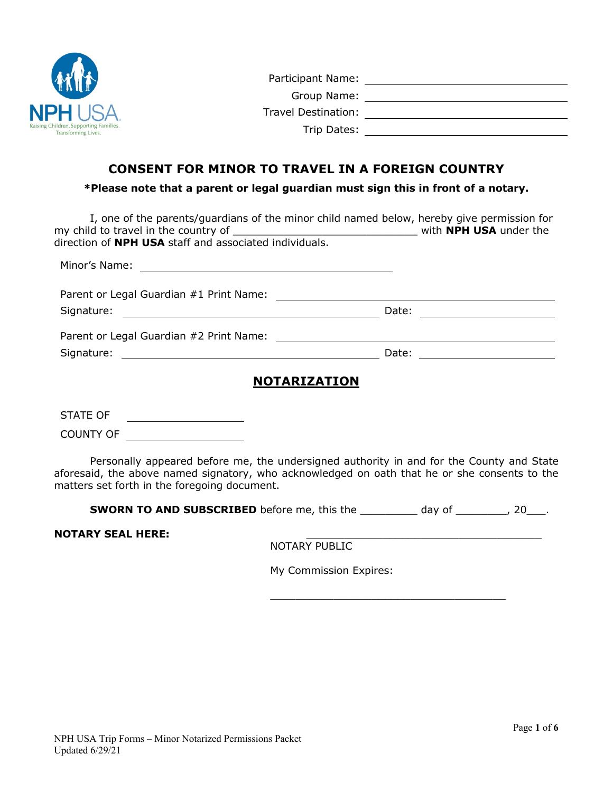

# **CONSENT FOR MINOR TO TRAVEL IN A FOREIGN COUNTRY**

**\*Please note that a parent or legal guardian must sign this in front of a notary.**

| I, one of the parents/guardians of the minor child named below, hereby give permission for<br>direction of NPH USA staff and associated individuals. |       |  |
|------------------------------------------------------------------------------------------------------------------------------------------------------|-------|--|
|                                                                                                                                                      |       |  |
| Parent or Legal Guardian #1 Print Name:                                                                                                              |       |  |
|                                                                                                                                                      |       |  |
| Parent or Legal Guardian #2 Print Name:                                                                                                              |       |  |
| Signature:                                                                                                                                           | Date: |  |
| <b>NOTARIZATION</b>                                                                                                                                  |       |  |

STATE OF COUNTY OF

Personally appeared before me, the undersigned authority in and for the County and State aforesaid, the above named signatory, who acknowledged on oath that he or she consents to the matters set forth in the foregoing document.

**SWORN TO AND SUBSCRIBED** before me, this the \_\_\_\_\_\_\_\_\_ day of \_\_\_\_\_\_\_, 20\_\_\_.

**NOTARY SEAL HERE:** 

NOTARY PUBLIC

My Commission Expires:

\_\_\_\_\_\_\_\_\_\_\_\_\_\_\_\_\_\_\_\_\_\_\_\_\_\_\_\_\_\_\_\_\_\_\_\_\_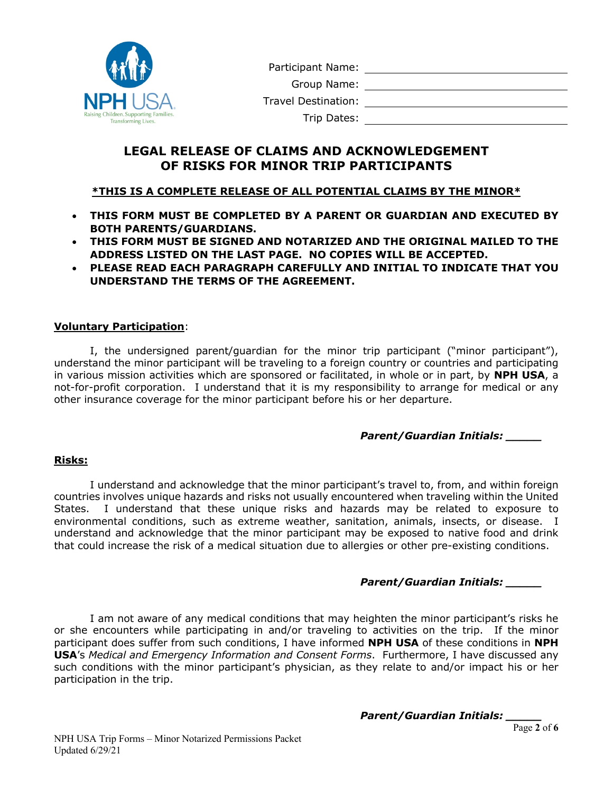

Participant Name:

Group Name:

Travel Destination:

Trip Dates:

# **LEGAL RELEASE OF CLAIMS AND ACKNOWLEDGEMENT OF RISKS FOR MINOR TRIP PARTICIPANTS**

# **\*THIS IS A COMPLETE RELEASE OF ALL POTENTIAL CLAIMS BY THE MINOR\***

- **THIS FORM MUST BE COMPLETED BY A PARENT OR GUARDIAN AND EXECUTED BY BOTH PARENTS/GUARDIANS.**
- **THIS FORM MUST BE SIGNED AND NOTARIZED AND THE ORIGINAL MAILED TO THE ADDRESS LISTED ON THE LAST PAGE. NO COPIES WILL BE ACCEPTED.**
- **PLEASE READ EACH PARAGRAPH CAREFULLY AND INITIAL TO INDICATE THAT YOU UNDERSTAND THE TERMS OF THE AGREEMENT.**

## **Voluntary Participation**:

I, the undersigned parent/guardian for the minor trip participant ("minor participant"), understand the minor participant will be traveling to a foreign country or countries and participating in various mission activities which are sponsored or facilitated, in whole or in part, by **NPH USA**, a not-for-profit corporation. I understand that it is my responsibility to arrange for medical or any other insurance coverage for the minor participant before his or her departure.

## *Parent/Guardian Initials: \_\_\_\_\_*

## **Risks:**

I understand and acknowledge that the minor participant's travel to, from, and within foreign countries involves unique hazards and risks not usually encountered when traveling within the United States. I understand that these unique risks and hazards may be related to exposure to environmental conditions, such as extreme weather, sanitation, animals, insects, or disease. I understand and acknowledge that the minor participant may be exposed to native food and drink that could increase the risk of a medical situation due to allergies or other pre-existing conditions.

# *Parent/Guardian Initials: \_\_\_\_\_*

I am not aware of any medical conditions that may heighten the minor participant's risks he or she encounters while participating in and/or traveling to activities on the trip. If the minor participant does suffer from such conditions, I have informed **NPH USA** of these conditions in **NPH USA**'s *Medical and Emergency Information and Consent Forms*. Furthermore, I have discussed any such conditions with the minor participant's physician, as they relate to and/or impact his or her participation in the trip.

*Parent/Guardian Initials: \_\_\_\_\_*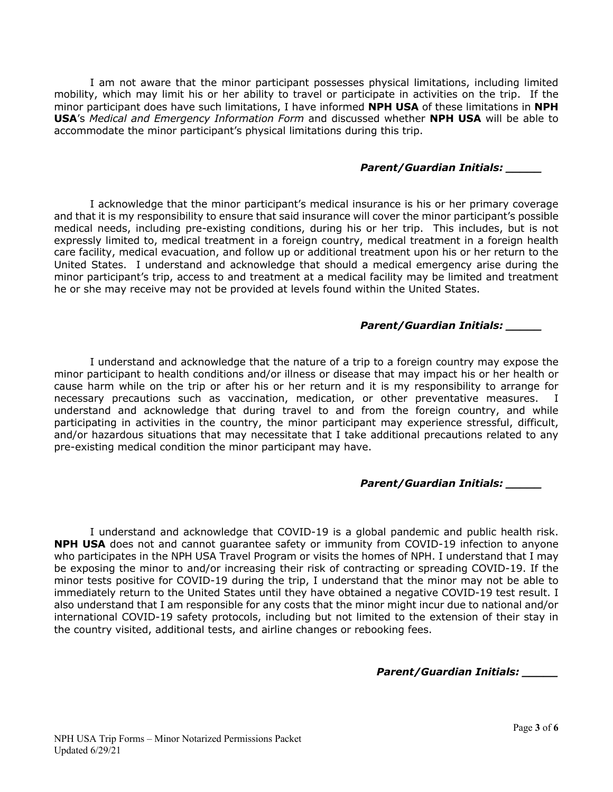I am not aware that the minor participant possesses physical limitations, including limited mobility, which may limit his or her ability to travel or participate in activities on the trip. If the minor participant does have such limitations, I have informed **NPH USA** of these limitations in **NPH USA**'s *Medical and Emergency Information Form* and discussed whether **NPH USA** will be able to accommodate the minor participant's physical limitations during this trip.

### *Parent/Guardian Initials: \_\_\_\_\_*

I acknowledge that the minor participant's medical insurance is his or her primary coverage and that it is my responsibility to ensure that said insurance will cover the minor participant's possible medical needs, including pre-existing conditions, during his or her trip. This includes, but is not expressly limited to, medical treatment in a foreign country, medical treatment in a foreign health care facility, medical evacuation, and follow up or additional treatment upon his or her return to the United States. I understand and acknowledge that should a medical emergency arise during the minor participant's trip, access to and treatment at a medical facility may be limited and treatment he or she may receive may not be provided at levels found within the United States.

### *Parent/Guardian Initials: \_\_\_\_\_*

I understand and acknowledge that the nature of a trip to a foreign country may expose the minor participant to health conditions and/or illness or disease that may impact his or her health or cause harm while on the trip or after his or her return and it is my responsibility to arrange for necessary precautions such as vaccination, medication, or other preventative measures. I understand and acknowledge that during travel to and from the foreign country, and while participating in activities in the country, the minor participant may experience stressful, difficult, and/or hazardous situations that may necessitate that I take additional precautions related to any pre-existing medical condition the minor participant may have.

## *Parent/Guardian Initials: \_\_\_\_\_*

I understand and acknowledge that COVID-19 is a global pandemic and public health risk. **NPH USA** does not and cannot guarantee safety or immunity from COVID-19 infection to anyone who participates in the NPH USA Travel Program or visits the homes of NPH. I understand that I may be exposing the minor to and/or increasing their risk of contracting or spreading COVID-19. If the minor tests positive for COVID-19 during the trip, I understand that the minor may not be able to immediately return to the United States until they have obtained a negative COVID-19 test result. I also understand that I am responsible for any costs that the minor might incur due to national and/or international COVID-19 safety protocols, including but not limited to the extension of their stay in the country visited, additional tests, and airline changes or rebooking fees.

*Parent/Guardian Initials: \_\_\_\_\_*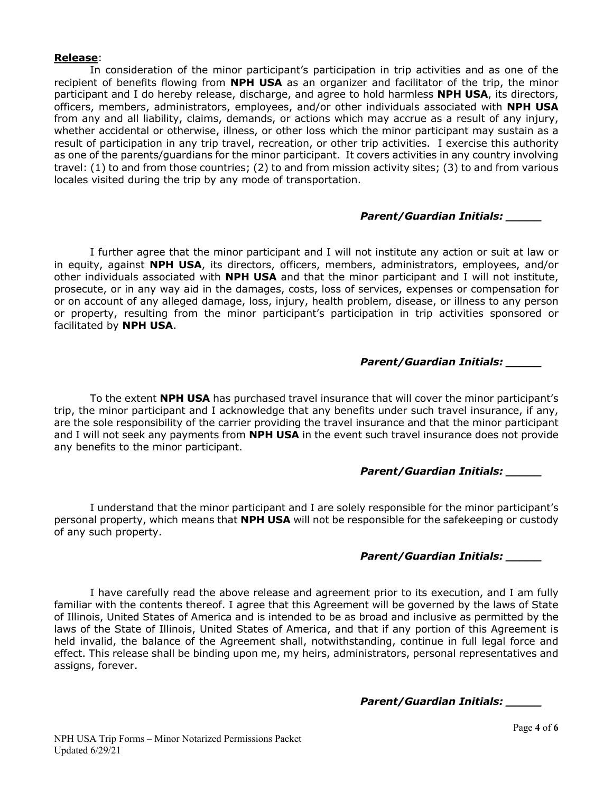#### **Release**:

In consideration of the minor participant's participation in trip activities and as one of the recipient of benefits flowing from **NPH USA** as an organizer and facilitator of the trip, the minor participant and I do hereby release, discharge, and agree to hold harmless **NPH USA**, its directors, officers, members, administrators, employees, and/or other individuals associated with **NPH USA** from any and all liability, claims, demands, or actions which may accrue as a result of any injury, whether accidental or otherwise, illness, or other loss which the minor participant may sustain as a result of participation in any trip travel, recreation, or other trip activities. I exercise this authority as one of the parents/guardians for the minor participant. It covers activities in any country involving travel: (1) to and from those countries; (2) to and from mission activity sites; (3) to and from various locales visited during the trip by any mode of transportation.

### *Parent/Guardian Initials: \_\_\_\_\_*

I further agree that the minor participant and I will not institute any action or suit at law or in equity, against **NPH USA**, its directors, officers, members, administrators, employees, and/or other individuals associated with **NPH USA** and that the minor participant and I will not institute, prosecute, or in any way aid in the damages, costs, loss of services, expenses or compensation for or on account of any alleged damage, loss, injury, health problem, disease, or illness to any person or property, resulting from the minor participant's participation in trip activities sponsored or facilitated by **NPH USA**.

## *Parent/Guardian Initials: \_\_\_\_\_*

To the extent **NPH USA** has purchased travel insurance that will cover the minor participant's trip, the minor participant and I acknowledge that any benefits under such travel insurance, if any, are the sole responsibility of the carrier providing the travel insurance and that the minor participant and I will not seek any payments from **NPH USA** in the event such travel insurance does not provide any benefits to the minor participant.

## *Parent/Guardian Initials: \_\_\_\_\_*

I understand that the minor participant and I are solely responsible for the minor participant's personal property, which means that **NPH USA** will not be responsible for the safekeeping or custody of any such property.

### *Parent/Guardian Initials: \_\_\_\_\_*

I have carefully read the above release and agreement prior to its execution, and I am fully familiar with the contents thereof. I agree that this Agreement will be governed by the laws of State of Illinois, United States of America and is intended to be as broad and inclusive as permitted by the laws of the State of Illinois, United States of America, and that if any portion of this Agreement is held invalid, the balance of the Agreement shall, notwithstanding, continue in full legal force and effect. This release shall be binding upon me, my heirs, administrators, personal representatives and assigns, forever.

*Parent/Guardian Initials: \_\_\_\_\_*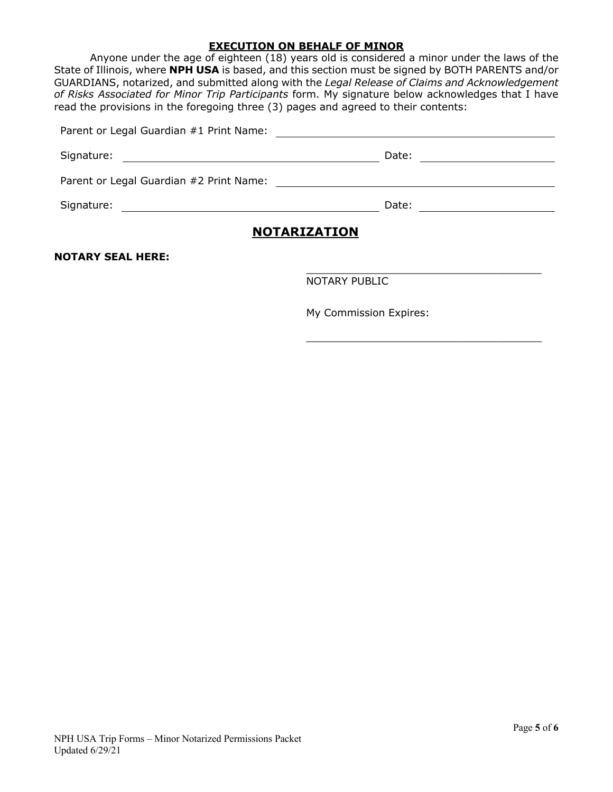#### **EXECUTION ON BEHALF OF MINOR**

Anyone under the age of eighteen (18) years old is considered a minor under the laws of the State of Illinois, where **NPH USA** is based, and this section must be signed by BOTH PARENTS and/or GUARDIANS, notarized, and submitted along with the *Legal Release of Claims and Acknowledgement of Risks Associated for Minor Trip Participants* form. My signature below acknowledges that I have read the provisions in the foregoing three (3) pages and agreed to their contents:

| Signature:<br><u> 1989 - Johann Stein, fransk politik (d. 1989)</u>      |       |  |
|--------------------------------------------------------------------------|-------|--|
|                                                                          |       |  |
| Signature:<br><u> 1989 - Johann Barbara, martxa alemaniar amerikan a</u> | Date: |  |
| <b>NOTARIZATION</b>                                                      |       |  |

**NOTARY SEAL HERE:**

NOTARY PUBLIC

My Commission Expires:

\_\_\_\_\_\_\_\_\_\_\_\_\_\_\_\_\_\_\_\_\_\_\_\_\_\_\_\_\_\_\_\_\_\_\_\_\_

\_\_\_\_\_\_\_\_\_\_\_\_\_\_\_\_\_\_\_\_\_\_\_\_\_\_\_\_\_\_\_\_\_\_\_\_\_